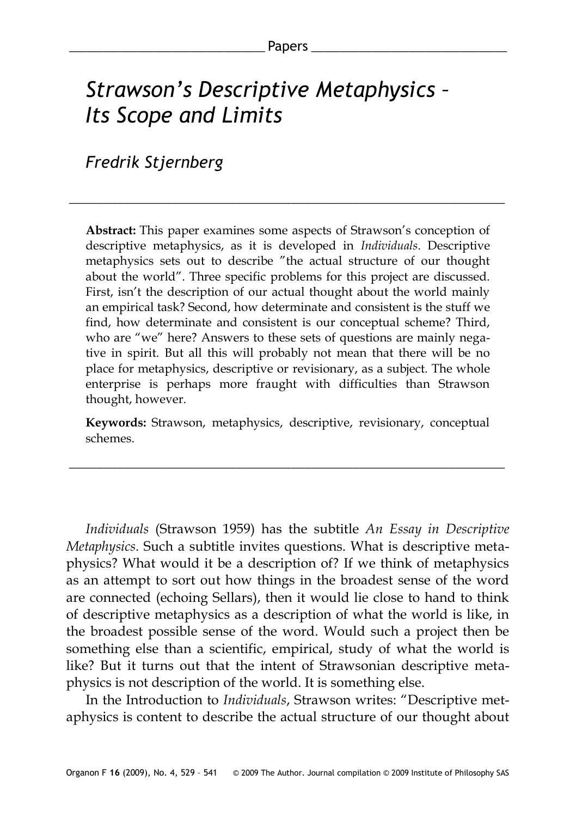# *Strawson's Descriptive Metaphysics – Its Scope and Limits*

*Fredrik Stjernberg*

**Abstract:** This paper examines some aspects of Strawson's conception of descriptive metaphysics, as it is developed in *Individuals*. Descriptive metaphysics sets out to describe "the actual structure of our thought about the world". Three specific problems for this project are discussed. First, isn't the description of our actual thought about the world mainly an empirical task? Second, how determinate and consistent is the stuff we find, how determinate and consistent is our conceptual scheme? Third, who are "we" here? Answers to these sets of questions are mainly negative in spirit. But all this will probably not mean that there will be no place for metaphysics, descriptive or revisionary, as a subject. The whole enterprise is perhaps more fraught with difficulties than Strawson thought, however.

\_\_\_\_\_\_\_\_\_\_\_\_\_\_\_\_\_\_\_\_\_\_\_\_\_\_\_\_\_\_\_\_\_\_\_\_\_\_\_\_\_\_\_\_\_\_\_\_\_\_\_\_\_\_\_\_\_\_\_\_\_\_\_

**Keywords:** Strawson, metaphysics, descriptive, revisionary, conceptual schemes.

\_\_\_\_\_\_\_\_\_\_\_\_\_\_\_\_\_\_\_\_\_\_\_\_\_\_\_\_\_\_\_\_\_\_\_\_\_\_\_\_\_\_\_\_\_\_\_\_\_\_\_\_\_\_\_\_\_\_\_\_\_\_\_

*Individuals* (Strawson 1959) has the subtitle *An Essay in Descriptive Metaphysics*. Such a subtitle invites questions. What is descriptive metaphysics? What would it be a description of? If we think of metaphysics as an attempt to sort out how things in the broadest sense of the word are connected (echoing Sellars), then it would lie close to hand to think of descriptive metaphysics as a description of what the world is like, in the broadest possible sense of the word. Would such a project then be something else than a scientific, empirical, study of what the world is like? But it turns out that the intent of Strawsonian descriptive metaphysics is not description of the world. It is something else.

In the Introduction to *Individuals*, Strawson writes: "Descriptive metaphysics is content to describe the actual structure of our thought about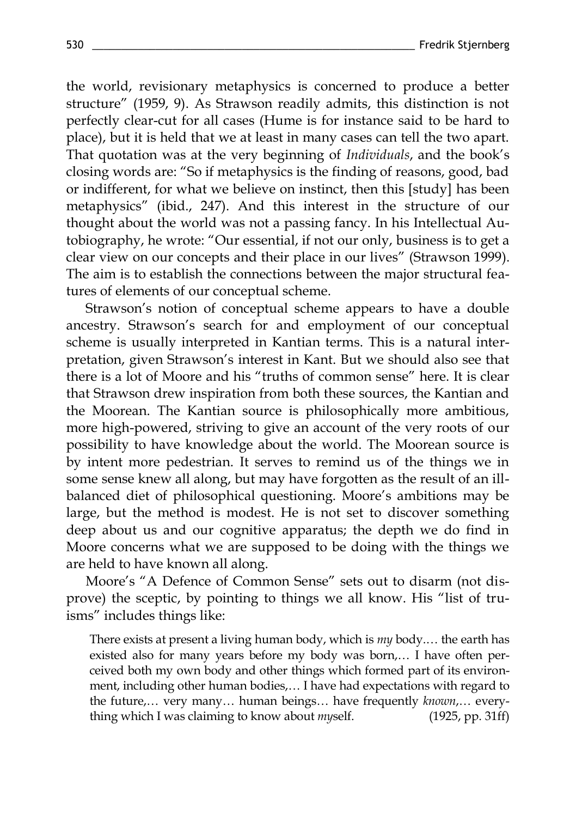the world, revisionary metaphysics is concerned to produce a better structure" (1959, 9). As Strawson readily admits, this distinction is not perfectly clear-cut for all cases (Hume is for instance said to be hard to place), but it is held that we at least in many cases can tell the two apart. That quotation was at the very beginning of *Individuals*, and the book's closing words are: "So if metaphysics is the finding of reasons, good, bad or indifferent, for what we believe on instinct, then this [study] has been metaphysics" (ibid., 247). And this interest in the structure of our thought about the world was not a passing fancy. In his Intellectual Autobiography, he wrote: "Our essential, if not our only, business is to get a clear view on our concepts and their place in our lives" (Strawson 1999). The aim is to establish the connections between the major structural features of elements of our conceptual scheme.

Strawson's notion of conceptual scheme appears to have a double ancestry. Strawson's search for and employment of our conceptual scheme is usually interpreted in Kantian terms. This is a natural interpretation, given Strawson's interest in Kant. But we should also see that there is a lot of Moore and his "truths of common sense" here. It is clear that Strawson drew inspiration from both these sources, the Kantian and the Moorean. The Kantian source is philosophically more ambitious, more high-powered, striving to give an account of the very roots of our possibility to have knowledge about the world. The Moorean source is by intent more pedestrian. It serves to remind us of the things we in some sense knew all along, but may have forgotten as the result of an illbalanced diet of philosophical questioning. Moore's ambitions may be large, but the method is modest. He is not set to discover something deep about us and our cognitive apparatus; the depth we do find in Moore concerns what we are supposed to be doing with the things we are held to have known all along.

Moore's "A Defence of Common Sense" sets out to disarm (not disprove) the sceptic, by pointing to things we all know. His "list of truisms" includes things like:

There exists at present a living human body, which is *my* body.… the earth has existed also for many years before my body was born,… I have often perceived both my own body and other things which formed part of its environment, including other human bodies,… I have had expectations with regard to the future,… very many… human beings… have frequently *known*,… everything which I was claiming to know about *my*self. (1925, pp. 31ff)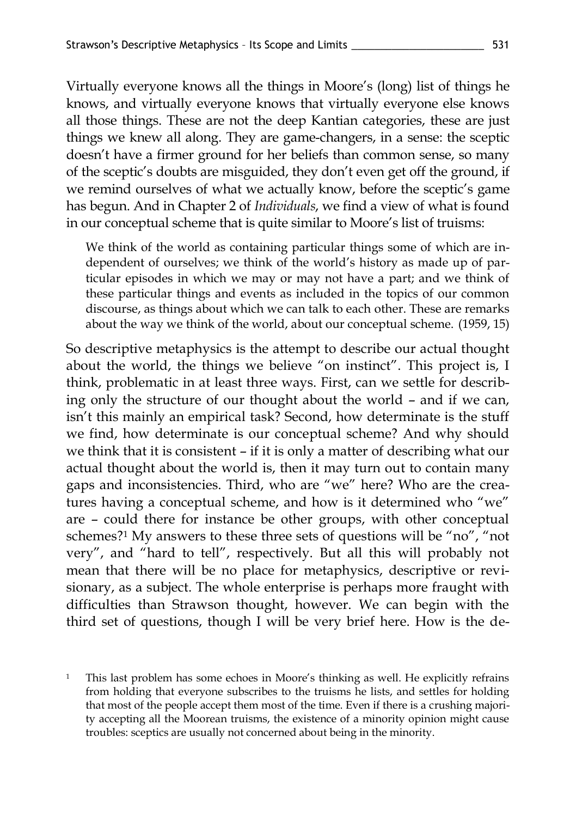Virtually everyone knows all the things in Moore's (long) list of things he knows, and virtually everyone knows that virtually everyone else knows all those things. These are not the deep Kantian categories, these are just things we knew all along. They are game-changers, in a sense: the sceptic doesn't have a firmer ground for her beliefs than common sense, so many of the sceptic's doubts are misguided, they don't even get off the ground, if we remind ourselves of what we actually know, before the sceptic's game has begun. And in Chapter 2 of *Individuals*, we find a view of what is found in our conceptual scheme that is quite similar to Moore's list of truisms:

We think of the world as containing particular things some of which are independent of ourselves; we think of the world's history as made up of particular episodes in which we may or may not have a part; and we think of these particular things and events as included in the topics of our common discourse, as things about which we can talk to each other. These are remarks about the way we think of the world, about our conceptual scheme. (1959, 15)

So descriptive metaphysics is the attempt to describe our actual thought about the world, the things we believe "on instinct". This project is, I think, problematic in at least three ways. First, can we settle for describing only the structure of our thought about the world – and if we can, isn't this mainly an empirical task? Second, how determinate is the stuff we find, how determinate is our conceptual scheme? And why should we think that it is consistent – if it is only a matter of describing what our actual thought about the world is, then it may turn out to contain many gaps and inconsistencies. Third, who are "we" here? Who are the creatures having a conceptual scheme, and how is it determined who "we" are – could there for instance be other groups, with other conceptual schemes?<sup>1</sup> My answers to these three sets of questions will be "no", "not very", and "hard to tell", respectively. But all this will probably not mean that there will be no place for metaphysics, descriptive or revisionary, as a subject. The whole enterprise is perhaps more fraught with difficulties than Strawson thought, however. We can begin with the third set of questions, though I will be very brief here. How is the de-

<sup>1</sup> This last problem has some echoes in Moore's thinking as well. He explicitly refrains from holding that everyone subscribes to the truisms he lists, and settles for holding that most of the people accept them most of the time. Even if there is a crushing majority accepting all the Moorean truisms, the existence of a minority opinion might cause troubles: sceptics are usually not concerned about being in the minority.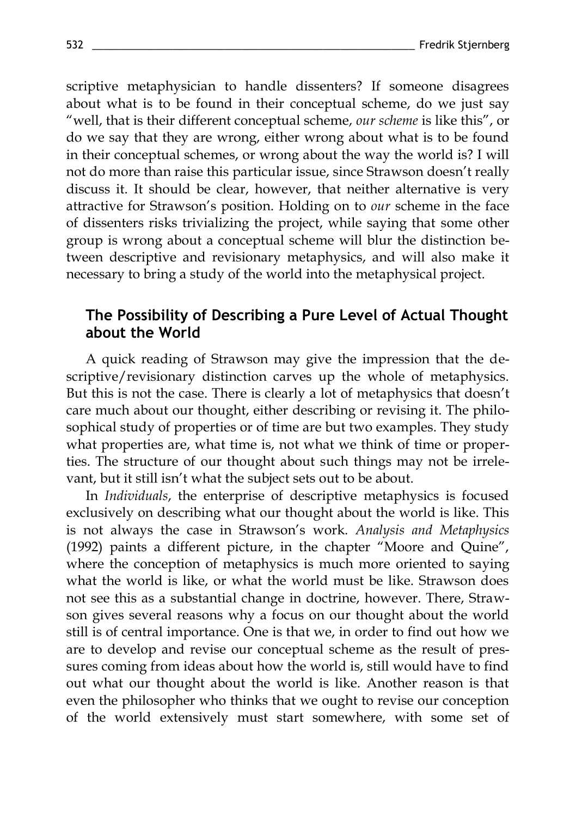scriptive metaphysician to handle dissenters? If someone disagrees about what is to be found in their conceptual scheme, do we just say "well, that is their different conceptual scheme, *our scheme* is like this", or do we say that they are wrong, either wrong about what is to be found in their conceptual schemes, or wrong about the way the world is? I will not do more than raise this particular issue, since Strawson doesn't really discuss it. It should be clear, however, that neither alternative is very attractive for Strawson's position. Holding on to *our* scheme in the face of dissenters risks trivializing the project, while saying that some other group is wrong about a conceptual scheme will blur the distinction between descriptive and revisionary metaphysics, and will also make it necessary to bring a study of the world into the metaphysical project.

# **The Possibility of Describing a Pure Level of Actual Thought about the World**

A quick reading of Strawson may give the impression that the descriptive/revisionary distinction carves up the whole of metaphysics. But this is not the case. There is clearly a lot of metaphysics that doesn't care much about our thought, either describing or revising it. The philosophical study of properties or of time are but two examples. They study what properties are, what time is, not what we think of time or properties. The structure of our thought about such things may not be irrelevant, but it still isn't what the subject sets out to be about.

In *Individuals*, the enterprise of descriptive metaphysics is focused exclusively on describing what our thought about the world is like. This is not always the case in Strawson's work. *Analysis and Metaphysics* (1992) paints a different picture, in the chapter "Moore and Quine", where the conception of metaphysics is much more oriented to saying what the world is like, or what the world must be like. Strawson does not see this as a substantial change in doctrine, however. There, Strawson gives several reasons why a focus on our thought about the world still is of central importance. One is that we, in order to find out how we are to develop and revise our conceptual scheme as the result of pressures coming from ideas about how the world is, still would have to find out what our thought about the world is like. Another reason is that even the philosopher who thinks that we ought to revise our conception of the world extensively must start somewhere, with some set of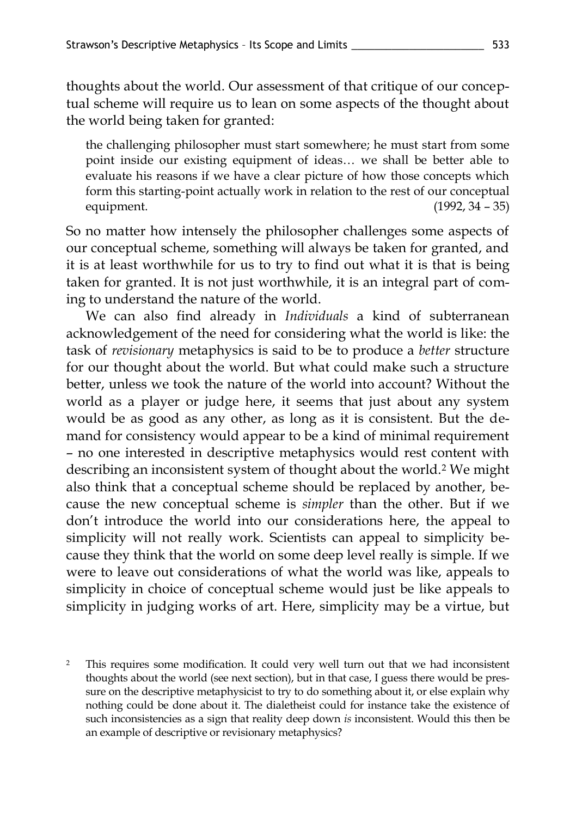thoughts about the world. Our assessment of that critique of our conceptual scheme will require us to lean on some aspects of the thought about the world being taken for granted:

the challenging philosopher must start somewhere; he must start from some point inside our existing equipment of ideas… we shall be better able to evaluate his reasons if we have a clear picture of how those concepts which form this starting-point actually work in relation to the rest of our conceptual equipment. (1992, 34 – 35)

So no matter how intensely the philosopher challenges some aspects of our conceptual scheme, something will always be taken for granted, and it is at least worthwhile for us to try to find out what it is that is being taken for granted. It is not just worthwhile, it is an integral part of coming to understand the nature of the world.

We can also find already in *Individuals* a kind of subterranean acknowledgement of the need for considering what the world is like: the task of *revisionary* metaphysics is said to be to produce a *better* structure for our thought about the world. But what could make such a structure better, unless we took the nature of the world into account? Without the world as a player or judge here, it seems that just about any system would be as good as any other, as long as it is consistent. But the demand for consistency would appear to be a kind of minimal requirement – no one interested in descriptive metaphysics would rest content with describing an inconsistent system of thought about the world.<sup>2</sup> We might also think that a conceptual scheme should be replaced by another, because the new conceptual scheme is *simpler* than the other. But if we don't introduce the world into our considerations here, the appeal to simplicity will not really work. Scientists can appeal to simplicity because they think that the world on some deep level really is simple. If we were to leave out considerations of what the world was like, appeals to simplicity in choice of conceptual scheme would just be like appeals to simplicity in judging works of art. Here, simplicity may be a virtue, but

<sup>2</sup> This requires some modification. It could very well turn out that we had inconsistent thoughts about the world (see next section), but in that case, I guess there would be pressure on the descriptive metaphysicist to try to do something about it, or else explain why nothing could be done about it. The dialetheist could for instance take the existence of such inconsistencies as a sign that reality deep down *is* inconsistent. Would this then be an example of descriptive or revisionary metaphysics?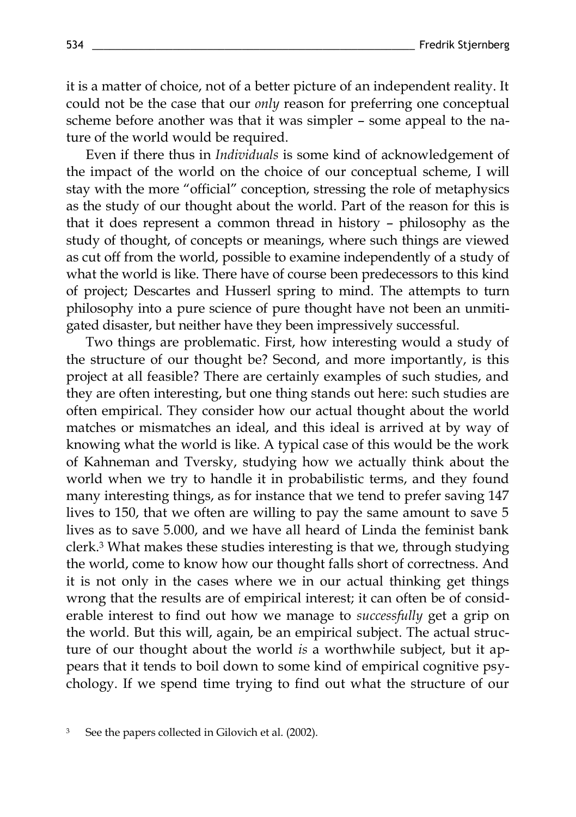it is a matter of choice, not of a better picture of an independent reality. It could not be the case that our *only* reason for preferring one conceptual scheme before another was that it was simpler – some appeal to the nature of the world would be required.

Even if there thus in *Individuals* is some kind of acknowledgement of the impact of the world on the choice of our conceptual scheme, I will stay with the more "official" conception, stressing the role of metaphysics as the study of our thought about the world. Part of the reason for this is that it does represent a common thread in history – philosophy as the study of thought, of concepts or meanings, where such things are viewed as cut off from the world, possible to examine independently of a study of what the world is like. There have of course been predecessors to this kind of project; Descartes and Husserl spring to mind. The attempts to turn philosophy into a pure science of pure thought have not been an unmitigated disaster, but neither have they been impressively successful.

Two things are problematic. First, how interesting would a study of the structure of our thought be? Second, and more importantly, is this project at all feasible? There are certainly examples of such studies, and they are often interesting, but one thing stands out here: such studies are often empirical. They consider how our actual thought about the world matches or mismatches an ideal, and this ideal is arrived at by way of knowing what the world is like. A typical case of this would be the work of Kahneman and Tversky, studying how we actually think about the world when we try to handle it in probabilistic terms, and they found many interesting things, as for instance that we tend to prefer saving 147 lives to 150, that we often are willing to pay the same amount to save 5 lives as to save 5.000, and we have all heard of Linda the feminist bank clerk. <sup>3</sup> What makes these studies interesting is that we, through studying the world, come to know how our thought falls short of correctness. And it is not only in the cases where we in our actual thinking get things wrong that the results are of empirical interest; it can often be of considerable interest to find out how we manage to *successfully* get a grip on the world. But this will, again, be an empirical subject. The actual structure of our thought about the world *is* a worthwhile subject, but it appears that it tends to boil down to some kind of empirical cognitive psychology. If we spend time trying to find out what the structure of our

<sup>3</sup> See the papers collected in Gilovich et al. (2002).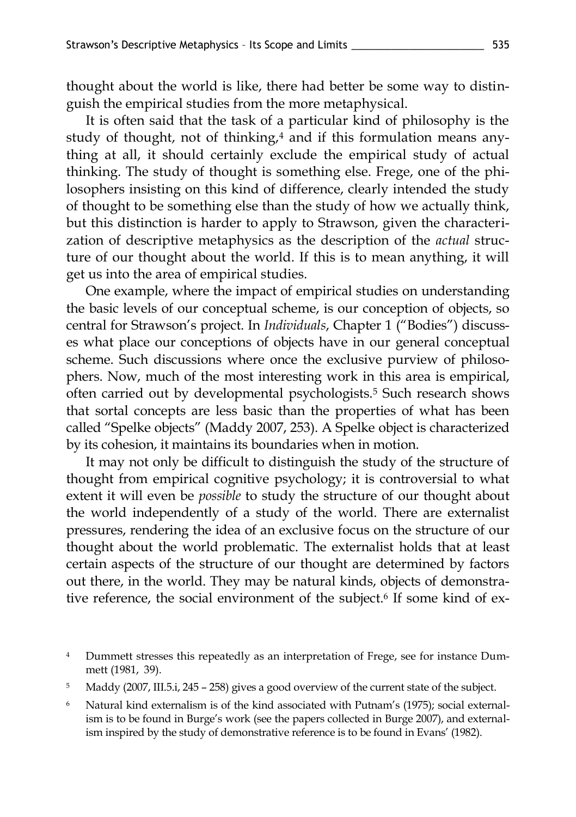thought about the world is like, there had better be some way to distinguish the empirical studies from the more metaphysical.

It is often said that the task of a particular kind of philosophy is the study of thought, not of thinking,<sup>4</sup> and if this formulation means anything at all, it should certainly exclude the empirical study of actual thinking. The study of thought is something else. Frege, one of the philosophers insisting on this kind of difference, clearly intended the study of thought to be something else than the study of how we actually think, but this distinction is harder to apply to Strawson, given the characterization of descriptive metaphysics as the description of the *actual* structure of our thought about the world. If this is to mean anything, it will get us into the area of empirical studies.

One example, where the impact of empirical studies on understanding the basic levels of our conceptual scheme, is our conception of objects, so central for Strawson's project. In *Individuals*, Chapter 1 ("Bodies") discusses what place our conceptions of objects have in our general conceptual scheme. Such discussions where once the exclusive purview of philosophers. Now, much of the most interesting work in this area is empirical, often carried out by developmental psychologists.<sup>5</sup> Such research shows that sortal concepts are less basic than the properties of what has been called "Spelke objects" (Maddy 2007, 253). A Spelke object is characterized by its cohesion, it maintains its boundaries when in motion.

It may not only be difficult to distinguish the study of the structure of thought from empirical cognitive psychology; it is controversial to what extent it will even be *possible* to study the structure of our thought about the world independently of a study of the world. There are externalist pressures, rendering the idea of an exclusive focus on the structure of our thought about the world problematic. The externalist holds that at least certain aspects of the structure of our thought are determined by factors out there, in the world. They may be natural kinds, objects of demonstrative reference, the social environment of the subject.<sup>6</sup> If some kind of ex-

<sup>4</sup> Dummett stresses this repeatedly as an interpretation of Frege, see for instance Dummett (1981, 39).

<sup>5</sup> Maddy (2007, III.5.i, 245 – 258) gives a good overview of the current state of the subject.

<sup>6</sup> Natural kind externalism is of the kind associated with Putnam's (1975); social externalism is to be found in Burge's work (see the papers collected in Burge 2007), and externalism inspired by the study of demonstrative reference is to be found in Evans' (1982).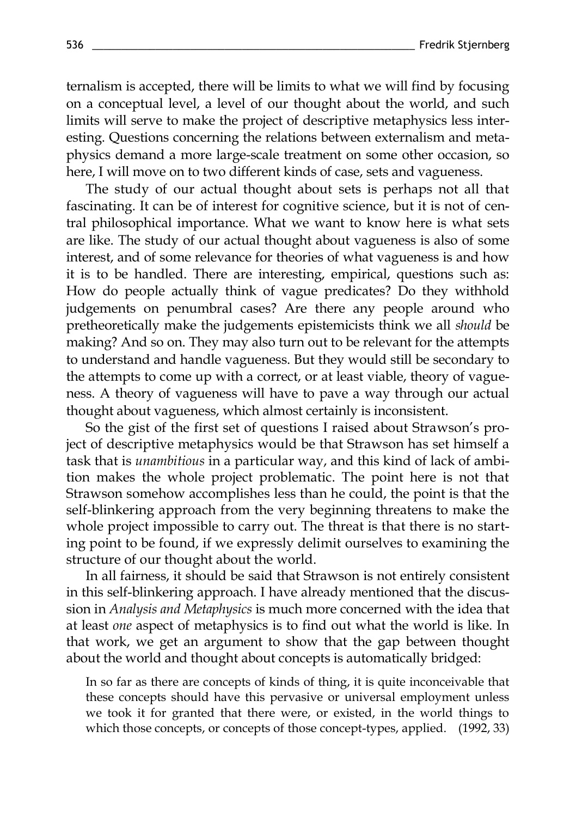ternalism is accepted, there will be limits to what we will find by focusing on a conceptual level, a level of our thought about the world, and such limits will serve to make the project of descriptive metaphysics less interesting. Questions concerning the relations between externalism and metaphysics demand a more large-scale treatment on some other occasion, so here, I will move on to two different kinds of case, sets and vagueness.

The study of our actual thought about sets is perhaps not all that fascinating. It can be of interest for cognitive science, but it is not of central philosophical importance. What we want to know here is what sets are like. The study of our actual thought about vagueness is also of some interest, and of some relevance for theories of what vagueness is and how it is to be handled. There are interesting, empirical, questions such as: How do people actually think of vague predicates? Do they withhold judgements on penumbral cases? Are there any people around who pretheoretically make the judgements epistemicists think we all *should* be making? And so on. They may also turn out to be relevant for the attempts to understand and handle vagueness. But they would still be secondary to the attempts to come up with a correct, or at least viable, theory of vagueness. A theory of vagueness will have to pave a way through our actual thought about vagueness, which almost certainly is inconsistent.

So the gist of the first set of questions I raised about Strawson's project of descriptive metaphysics would be that Strawson has set himself a task that is *unambitious* in a particular way, and this kind of lack of ambition makes the whole project problematic. The point here is not that Strawson somehow accomplishes less than he could, the point is that the self-blinkering approach from the very beginning threatens to make the whole project impossible to carry out. The threat is that there is no starting point to be found, if we expressly delimit ourselves to examining the structure of our thought about the world.

In all fairness, it should be said that Strawson is not entirely consistent in this self-blinkering approach. I have already mentioned that the discussion in *Analysis and Metaphysics* is much more concerned with the idea that at least *one* aspect of metaphysics is to find out what the world is like. In that work, we get an argument to show that the gap between thought about the world and thought about concepts is automatically bridged:

In so far as there are concepts of kinds of thing, it is quite inconceivable that these concepts should have this pervasive or universal employment unless we took it for granted that there were, or existed, in the world things to which those concepts, or concepts of those concept-types, applied. (1992, 33)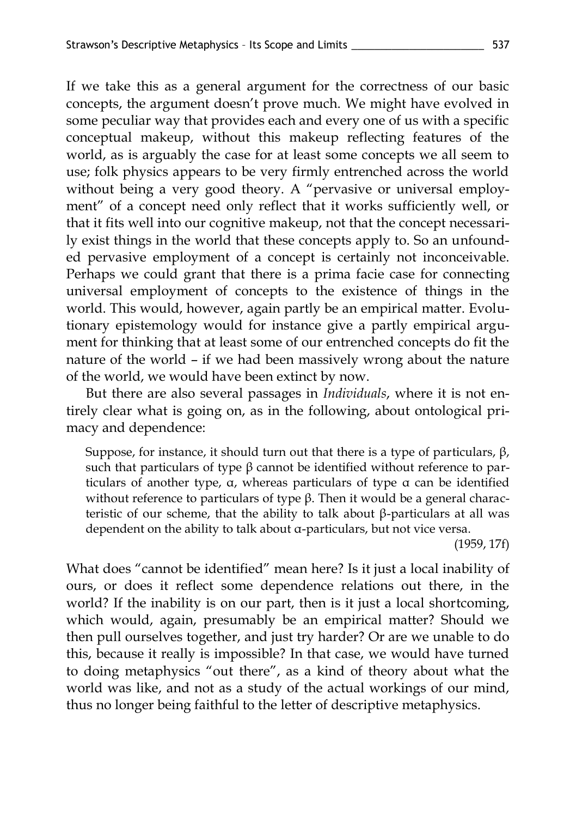If we take this as a general argument for the correctness of our basic concepts, the argument doesn't prove much. We might have evolved in some peculiar way that provides each and every one of us with a specific conceptual makeup, without this makeup reflecting features of the world, as is arguably the case for at least some concepts we all seem to use; folk physics appears to be very firmly entrenched across the world without being a very good theory. A "pervasive or universal employment" of a concept need only reflect that it works sufficiently well, or that it fits well into our cognitive makeup, not that the concept necessarily exist things in the world that these concepts apply to. So an unfounded pervasive employment of a concept is certainly not inconceivable. Perhaps we could grant that there is a prima facie case for connecting universal employment of concepts to the existence of things in the world. This would, however, again partly be an empirical matter. Evolutionary epistemology would for instance give a partly empirical argument for thinking that at least some of our entrenched concepts do fit the nature of the world – if we had been massively wrong about the nature of the world, we would have been extinct by now.

But there are also several passages in *Individuals*, where it is not entirely clear what is going on, as in the following, about ontological primacy and dependence:

Suppose, for instance, it should turn out that there is a type of particulars,  $β$ , such that particulars of type β cannot be identified without reference to particulars of another type, α, whereas particulars of type α can be identified without reference to particulars of type  $β$ . Then it would be a general characteristic of our scheme, that the ability to talk about β-particulars at all was dependent on the ability to talk about α-particulars, but not vice versa.

(1959, 17f)

What does "cannot be identified" mean here? Is it just a local inability of ours, or does it reflect some dependence relations out there, in the world? If the inability is on our part, then is it just a local shortcoming, which would, again, presumably be an empirical matter? Should we then pull ourselves together, and just try harder? Or are we unable to do this, because it really is impossible? In that case, we would have turned to doing metaphysics "out there", as a kind of theory about what the world was like, and not as a study of the actual workings of our mind, thus no longer being faithful to the letter of descriptive metaphysics.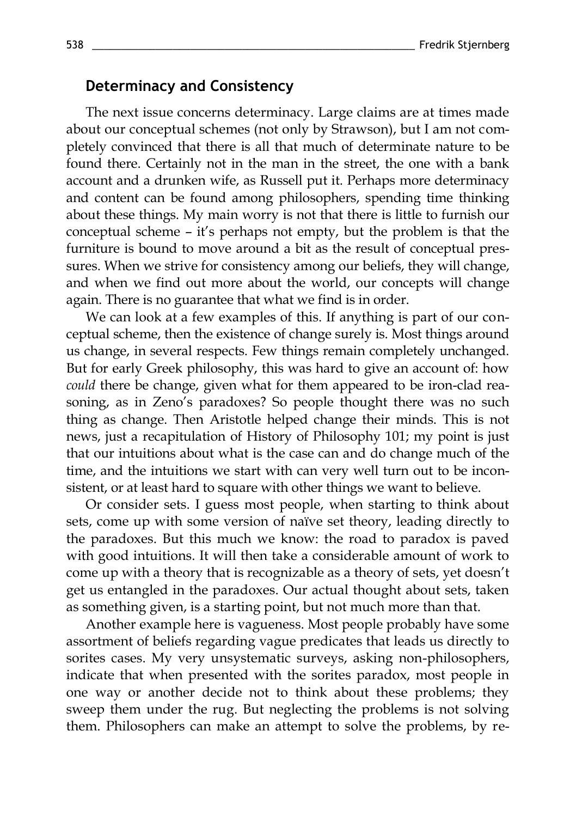### **Determinacy and Consistency**

The next issue concerns determinacy. Large claims are at times made about our conceptual schemes (not only by Strawson), but I am not completely convinced that there is all that much of determinate nature to be found there. Certainly not in the man in the street, the one with a bank account and a drunken wife, as Russell put it. Perhaps more determinacy and content can be found among philosophers, spending time thinking about these things. My main worry is not that there is little to furnish our conceptual scheme – it's perhaps not empty, but the problem is that the furniture is bound to move around a bit as the result of conceptual pressures. When we strive for consistency among our beliefs, they will change, and when we find out more about the world, our concepts will change again. There is no guarantee that what we find is in order.

We can look at a few examples of this. If anything is part of our conceptual scheme, then the existence of change surely is. Most things around us change, in several respects. Few things remain completely unchanged. But for early Greek philosophy, this was hard to give an account of: how *could* there be change, given what for them appeared to be iron-clad reasoning, as in Zeno's paradoxes? So people thought there was no such thing as change. Then Aristotle helped change their minds. This is not news, just a recapitulation of History of Philosophy 101; my point is just that our intuitions about what is the case can and do change much of the time, and the intuitions we start with can very well turn out to be inconsistent, or at least hard to square with other things we want to believe.

Or consider sets. I guess most people, when starting to think about sets, come up with some version of naïve set theory, leading directly to the paradoxes. But this much we know: the road to paradox is paved with good intuitions. It will then take a considerable amount of work to come up with a theory that is recognizable as a theory of sets, yet doesn't get us entangled in the paradoxes. Our actual thought about sets, taken as something given, is a starting point, but not much more than that.

Another example here is vagueness. Most people probably have some assortment of beliefs regarding vague predicates that leads us directly to sorites cases. My very unsystematic surveys, asking non-philosophers, indicate that when presented with the sorites paradox, most people in one way or another decide not to think about these problems; they sweep them under the rug. But neglecting the problems is not solving them. Philosophers can make an attempt to solve the problems, by re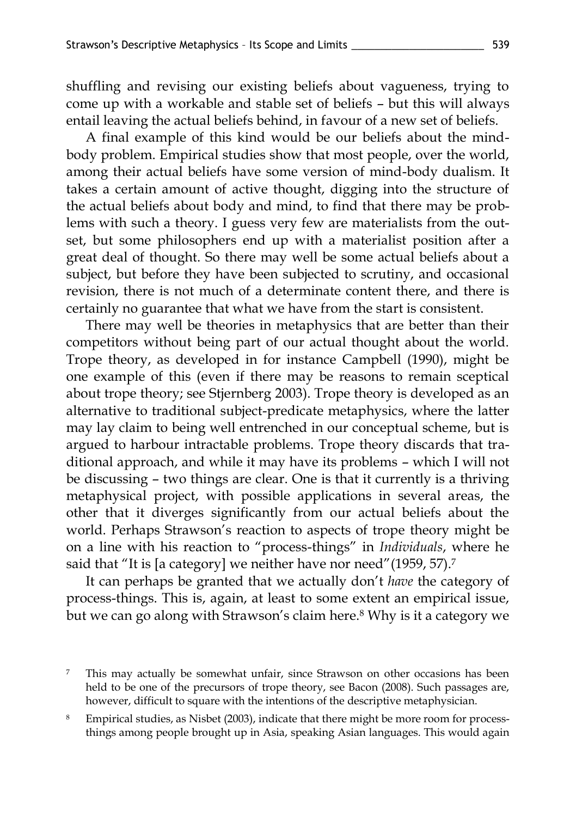shuffling and revising our existing beliefs about vagueness, trying to come up with a workable and stable set of beliefs – but this will always entail leaving the actual beliefs behind, in favour of a new set of beliefs.

A final example of this kind would be our beliefs about the mindbody problem. Empirical studies show that most people, over the world, among their actual beliefs have some version of mind-body dualism. It takes a certain amount of active thought, digging into the structure of the actual beliefs about body and mind, to find that there may be problems with such a theory. I guess very few are materialists from the outset, but some philosophers end up with a materialist position after a great deal of thought. So there may well be some actual beliefs about a subject, but before they have been subjected to scrutiny, and occasional revision, there is not much of a determinate content there, and there is certainly no guarantee that what we have from the start is consistent.

There may well be theories in metaphysics that are better than their competitors without being part of our actual thought about the world. Trope theory, as developed in for instance Campbell (1990), might be one example of this (even if there may be reasons to remain sceptical about trope theory; see Stjernberg 2003). Trope theory is developed as an alternative to traditional subject-predicate metaphysics, where the latter may lay claim to being well entrenched in our conceptual scheme, but is argued to harbour intractable problems. Trope theory discards that traditional approach, and while it may have its problems – which I will not be discussing – two things are clear. One is that it currently is a thriving metaphysical project, with possible applications in several areas, the other that it diverges significantly from our actual beliefs about the world. Perhaps Strawson's reaction to aspects of trope theory might be on a line with his reaction to "process-things" in *Individuals*, where he said that "It is [a category] we neither have nor need"(1959, 57). 7

It can perhaps be granted that we actually don't *have* the category of process-things. This is, again, at least to some extent an empirical issue, but we can go along with Strawson's claim here.<sup>8</sup> Why is it a category we

<sup>7</sup> This may actually be somewhat unfair, since Strawson on other occasions has been held to be one of the precursors of trope theory, see Bacon (2008). Such passages are, however, difficult to square with the intentions of the descriptive metaphysician.

<sup>8</sup> Empirical studies, as Nisbet (2003), indicate that there might be more room for processthings among people brought up in Asia, speaking Asian languages. This would again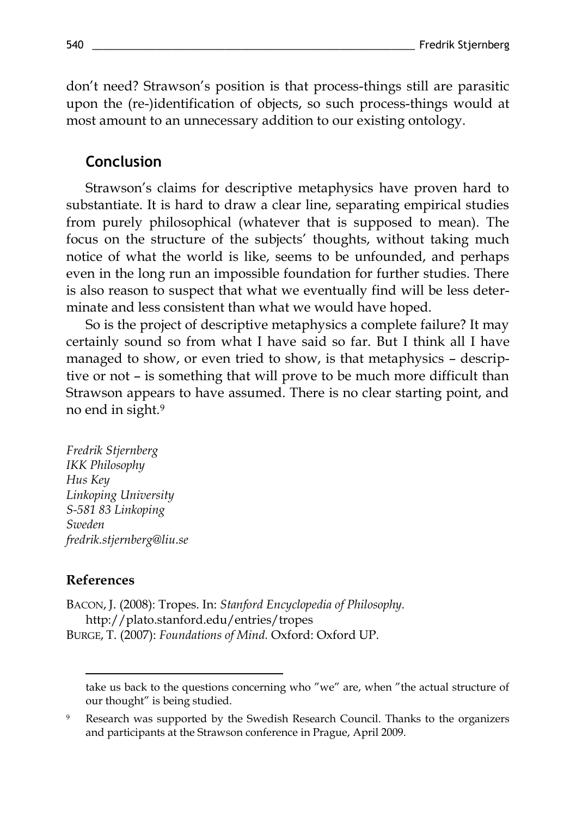don't need? Strawson's position is that process-things still are parasitic upon the (re-)identification of objects, so such process-things would at most amount to an unnecessary addition to our existing ontology.

## **Conclusion**

Strawson's claims for descriptive metaphysics have proven hard to substantiate. It is hard to draw a clear line, separating empirical studies from purely philosophical (whatever that is supposed to mean). The focus on the structure of the subjects' thoughts, without taking much notice of what the world is like, seems to be unfounded, and perhaps even in the long run an impossible foundation for further studies. There is also reason to suspect that what we eventually find will be less determinate and less consistent than what we would have hoped.

So is the project of descriptive metaphysics a complete failure? It may certainly sound so from what I have said so far. But I think all I have managed to show, or even tried to show, is that metaphysics – descriptive or not – is something that will prove to be much more difficult than Strawson appears to have assumed. There is no clear starting point, and no end in sight.<sup>9</sup>

*Fredrik Stjernberg IKK Philosophy Hus Key Linkoping University S-581 83 Linkoping Sweden fredrik.stjernberg@liu.se*

#### **References**

 $\overline{a}$ 

BACON, J. (2008): Tropes. In: *Stanford Encyclopedia of Philosophy.* http://plato.stanford.edu/entries/tropes BURGE, T. (2007): *Foundations of Mind.* Oxford: Oxford UP.

take us back to the questions concerning who "we" are, when "the actual structure of our thought" is being studied.

<sup>9</sup> Research was supported by the Swedish Research Council. Thanks to the organizers and participants at the Strawson conference in Prague, April 2009.